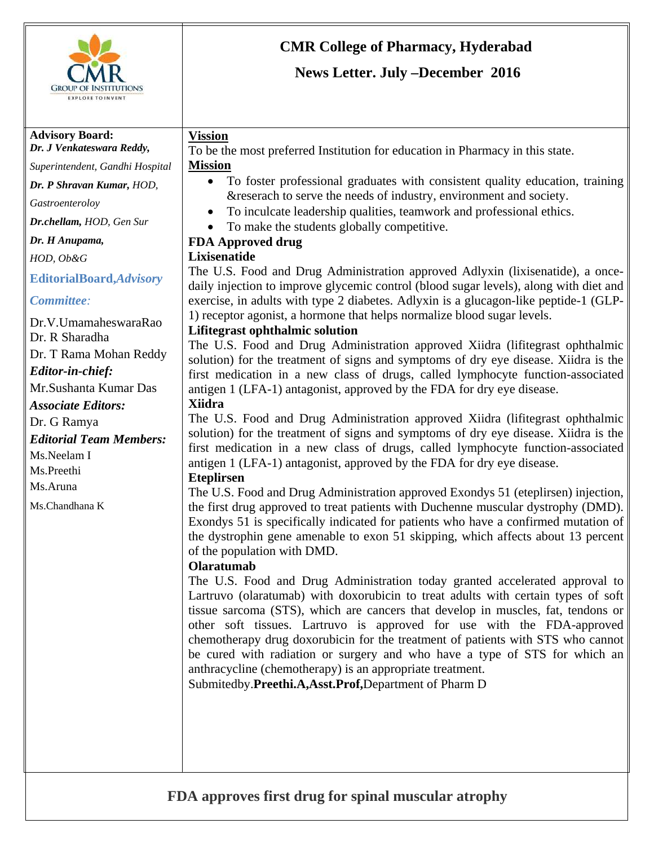

#### **Advisory Board:**  *Dr. J Venkateswara Reddy,*

*Superintendent, Gandhi Hospital* 

*Dr. P Shravan Kumar, HOD,* 

*Gastroenteroloy* 

*Dr.chellam, HOD, Gen Sur* 

*Dr. H Anupama,* 

*HOD, Ob&G* 

**EditorialBoard,***Advisory* 

*Committee:*

Dr.V.UmamaheswaraRao Dr. R Sharadha Dr. T Rama Mohan Reddy *Editor-in-chief:*  Mr.Sushanta Kumar Das *Associate Editors:*  Dr. G Ramya *Editorial Team Members:*  Ms.Neelam I Ms.Preethi Ms.Aruna Ms.Chandhana K

# **CMR College of Pharmacy, Hyderabad**

## **News Letter. July –December 2016**

## **Vission**

To be the most preferred Institution for education in Pharmacy in this state. **Mission**

- To foster professional graduates with consistent quality education, training &reserach to serve the needs of industry, environment and society.
- To inculcate leadership qualities, teamwork and professional ethics.
- To make the students globally competitive.

## **FDA Approved drug**

## **Lixisenatide**

The U.S. Food and Drug Administration approved Adlyxin (lixisenatide), a oncedaily injection to improve glycemic control (blood sugar levels), along with diet and exercise, in adults with type 2 diabetes. Adlyxin is a glucagon-like peptide-1 (GLP-1) receptor agonist, a hormone that helps normalize blood sugar levels.

### **Lifitegrast ophthalmic solution**

The U.S. Food and Drug Administration approved Xiidra (lifitegrast ophthalmic solution) for the treatment of signs and symptoms of dry eye disease. Xiidra is the first medication in a new class of drugs, called lymphocyte function-associated antigen 1 (LFA-1) antagonist, approved by the FDA for dry eye disease.

#### **Xiidra**

The U.S. Food and Drug Administration approved Xiidra (lifitegrast ophthalmic solution) for the treatment of signs and symptoms of dry eye disease. Xiidra is the first medication in a new class of drugs, called lymphocyte function-associated antigen 1 (LFA-1) antagonist, approved by the FDA for dry eye disease.

## **Eteplirsen**

The U.S. Food and Drug Administration approved Exondys 51 (eteplirsen) injection, the first drug approved to treat patients with Duchenne muscular dystrophy (DMD). Exondys 51 is specifically indicated for patients who have a confirmed mutation of the dystrophin gene amenable to exon 51 skipping, which affects about 13 percent of the population with DMD.

## **Olaratumab**

The U.S. Food and Drug Administration today granted accelerated approval to Lartruvo (olaratumab) with doxorubicin to treat adults with certain types of soft tissue sarcoma (STS), which are cancers that develop in muscles, fat, tendons or other soft tissues. Lartruvo is approved for use with the FDA-approved chemotherapy drug doxorubicin for the treatment of patients with STS who cannot be cured with radiation or surgery and who have a type of STS for which an anthracycline (chemotherapy) is an appropriate treatment.

Submitedby.**Preethi.A,Asst.Prof,**Department of Pharm D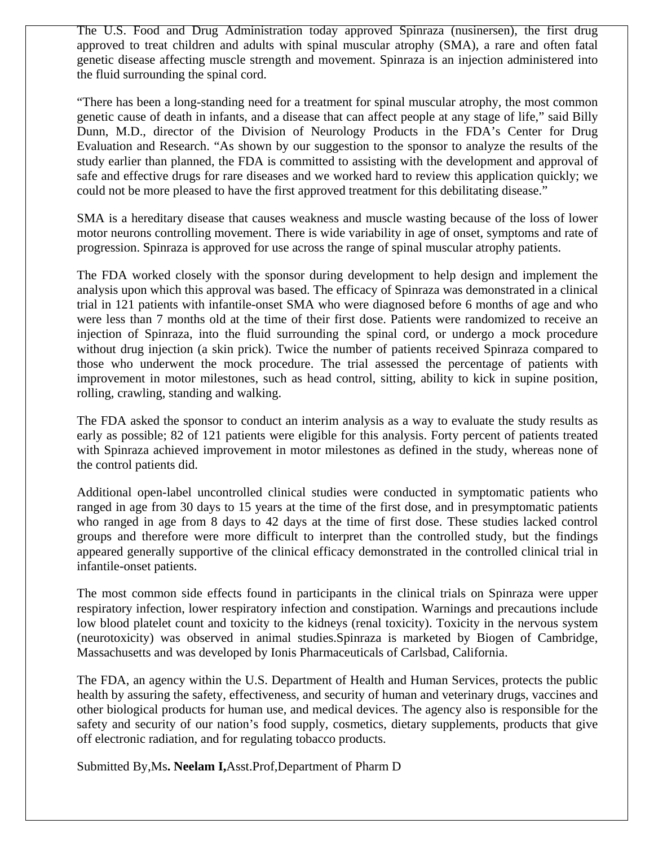The U.S. Food and Drug Administration today approved Spinraza (nusinersen), the first drug approved to treat children and adults with spinal muscular atrophy (SMA), a rare and often fatal genetic disease affecting muscle strength and movement. Spinraza is an injection administered into the fluid surrounding the spinal cord.

"There has been a long-standing need for a treatment for spinal muscular atrophy, the most common genetic cause of death in infants, and a disease that can affect people at any stage of life," said Billy Dunn, M.D., director of the Division of Neurology Products in the FDA's Center for Drug Evaluation and Research. "As shown by our suggestion to the sponsor to analyze the results of the study earlier than planned, the FDA is committed to assisting with the development and approval of safe and effective drugs for rare diseases and we worked hard to review this application quickly; we could not be more pleased to have the first approved treatment for this debilitating disease."

SMA is a hereditary disease that causes weakness and muscle wasting because of the loss of lower motor neurons controlling movement. There is wide variability in age of onset, symptoms and rate of progression. Spinraza is approved for use across the range of spinal muscular atrophy patients.

The FDA worked closely with the sponsor during development to help design and implement the analysis upon which this approval was based. The efficacy of Spinraza was demonstrated in a clinical trial in 121 patients with infantile-onset SMA who were diagnosed before 6 months of age and who were less than 7 months old at the time of their first dose. Patients were randomized to receive an injection of Spinraza, into the fluid surrounding the spinal cord, or undergo a mock procedure without drug injection (a skin prick). Twice the number of patients received Spinraza compared to those who underwent the mock procedure. The trial assessed the percentage of patients with improvement in motor milestones, such as head control, sitting, ability to kick in supine position, rolling, crawling, standing and walking.

The FDA asked the sponsor to conduct an interim analysis as a way to evaluate the study results as early as possible; 82 of 121 patients were eligible for this analysis. Forty percent of patients treated with Spinraza achieved improvement in motor milestones as defined in the study, whereas none of the control patients did.

Additional open-label uncontrolled clinical studies were conducted in symptomatic patients who ranged in age from 30 days to 15 years at the time of the first dose, and in presymptomatic patients who ranged in age from 8 days to 42 days at the time of first dose. These studies lacked control groups and therefore were more difficult to interpret than the controlled study, but the findings appeared generally supportive of the clinical efficacy demonstrated in the controlled clinical trial in infantile-onset patients.

The most common side effects found in participants in the clinical trials on Spinraza were upper respiratory infection, lower respiratory infection and constipation. Warnings and precautions include low blood platelet count and toxicity to the kidneys (renal toxicity). Toxicity in the nervous system (neurotoxicity) was observed in animal studies.Spinraza is marketed by Biogen of Cambridge, Massachusetts and was developed by Ionis Pharmaceuticals of Carlsbad, California.

The FDA, an agency within the U.S. Department of Health and Human Services, protects the public health by assuring the safety, effectiveness, and security of human and veterinary drugs, vaccines and other biological products for human use, and medical devices. The agency also is responsible for the safety and security of our nation's food supply, cosmetics, dietary supplements, products that give off electronic radiation, and for regulating tobacco products.

Submitted By,Ms**. Neelam I,**Asst.Prof,Department of Pharm D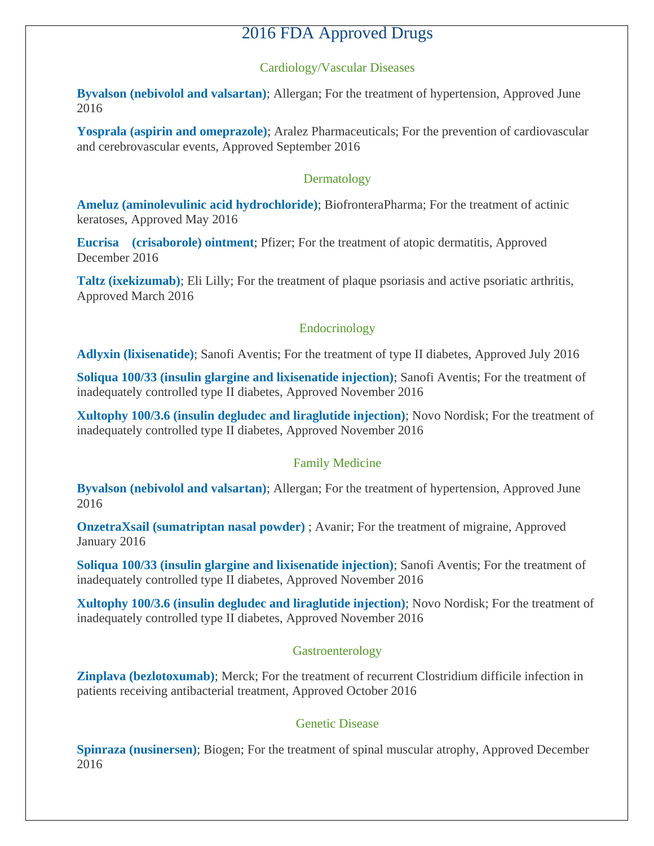## 2016 FDA Approved Drugs

#### Cardiology/Vascular Diseases

**[Byvalson \(nebivolol and valsartan\)](https://www.centerwatch.com/drug-information/fda-approved-drugs/drug/100154/byvalson-nebivolol-and-valsartan)**; Allergan; For the treatment of hypertension, Approved June 2016

**[Yosprala \(aspirin and omeprazole\)](https://www.centerwatch.com/drug-information/fda-approved-drugs/drug/100165/yosprala-aspirin-and-omeprazole)**; Aralez Pharmaceuticals; For the prevention of cardiovascular and cerebrovascular events, Approved September 2016

#### Dermatology

**[Ameluz \(aminolevulinic acid hydrochloride\)](https://www.centerwatch.com/drug-information/fda-approved-drugs/drug/100150/ameluz-aminolevulinic-acid-hydrochloride)**; BiofronteraPharma; For the treatment of actinic keratoses, Approved May 2016

**Eucrisa** (crisaborole) ointment; Pfizer; For the treatment of atopic dermatitis, Approved December 2016

**[Taltz \(ixekizumab\)](https://www.centerwatch.com/drug-information/fda-approved-drugs/drug/100136/taltz-ixekizumab)**; Eli Lilly; For the treatment of plaque psoriasis and active psoriatic arthritis, Approved March 2016

#### Endocrinology

**[Adlyxin \(lixisenatide\)](https://www.centerwatch.com/drug-information/fda-approved-drugs/drug/100161/adlyxin-lixisenatide)**; Sanofi Aventis; For the treatment of type II diabetes, Approved July 2016

**[Soliqua 100/33 \(insulin glargine and lixisenatide injection\)](https://www.centerwatch.com/drug-information/fda-approved-drugs/drug/100178/soliqua-100-33-insulin-glargine-and-lixisenatide-injection)**; Sanofi Aventis; For the treatment of inadequately controlled type II diabetes, Approved November 2016

**[Xultophy 100/3.6 \(insulin degludec and liraglutide injection\)](https://www.centerwatch.com/drug-information/fda-approved-drugs/drug/100177/xultophy-100-36-insulin-degludec-and-liraglutide-injection)**; Novo Nordisk; For the treatment of inadequately controlled type II diabetes, Approved November 2016

#### Family Medicine

**[Byvalson \(nebivolol and valsartan\)](https://www.centerwatch.com/drug-information/fda-approved-drugs/drug/100154/byvalson-nebivolol-and-valsartan)**; Allergan; For the treatment of hypertension, Approved June 2016

**[OnzetraXsail \(sumatriptan nasal powder\)](https://www.centerwatch.com/drug-information/fda-approved-drugs/drug/100129/onzetra-xsail-sumatriptan-nasal-powder-)** ; Avanir; For the treatment of migraine, Approved January 2016

**[Soliqua 100/33 \(insulin glargine and lixisenatide injection\)](https://www.centerwatch.com/drug-information/fda-approved-drugs/drug/100178/soliqua-100-33-insulin-glargine-and-lixisenatide-injection)**; Sanofi Aventis; For the treatment of inadequately controlled type II diabetes, Approved November 2016

**[Xultophy 100/3.6 \(insulin degludec and liraglutide injection\)](https://www.centerwatch.com/drug-information/fda-approved-drugs/drug/100177/xultophy-100-36-insulin-degludec-and-liraglutide-injection)**; Novo Nordisk; For the treatment of inadequately controlled type II diabetes, Approved November 2016

#### Gastroenterology

**[Zinplava \(bezlotoxumab\)](https://www.centerwatch.com/drug-information/fda-approved-drugs/drug/100173/zinplava-bezlotoxumab)**; Merck; For the treatment of recurrent Clostridium difficile infection in patients receiving antibacterial treatment, Approved October 2016

#### Genetic Disease

**[Spinraza \(nusinersen\)](https://www.centerwatch.com/drug-information/fda-approved-drugs/drug/100180/spinraza-nusinersen)**; Biogen; For the treatment of spinal muscular atrophy, Approved December 2016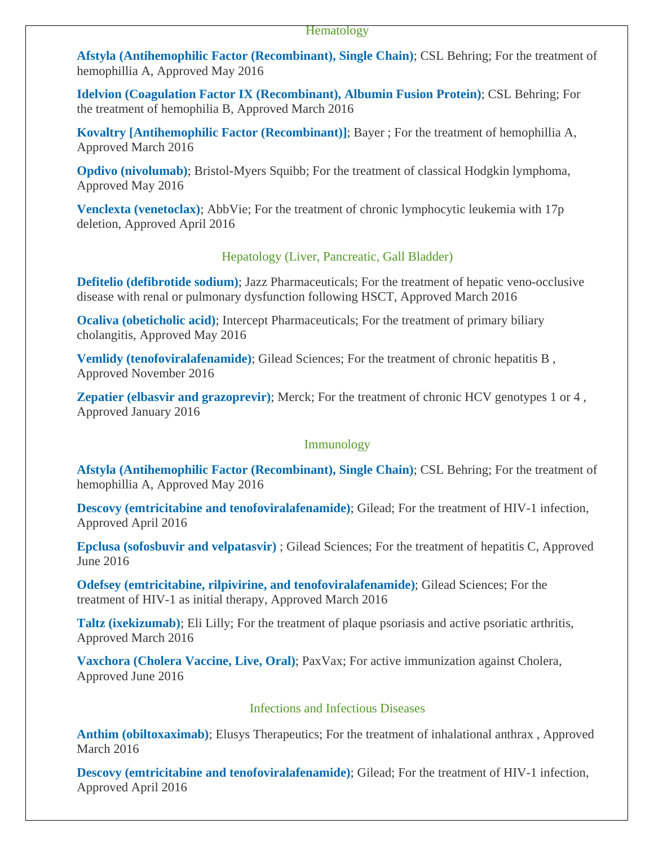**[Afstyla \(Antihemophilic Factor \(Recombinant\), Single Chain\)](https://www.centerwatch.com/drug-information/fda-approved-drugs/drug/100152/afstyla-antihemophilic-factor-recombinant-single-chain)**; CSL Behring; For the treatment of hemophillia A, Approved May 2016

**[Idelvion \(Coagulation Factor IX \(Recombinant\), Albumin Fusion Protein\)](https://www.centerwatch.com/drug-information/fda-approved-drugs/drug/100132/idelvion-coagulation-factor-ix-recombinant-albumin-fusion-protein)**; CSL Behring; For the treatment of hemophilia B, Approved March 2016

**[Kovaltry \[Antihemophilic Factor \(Recombinant\)\]](https://www.centerwatch.com/drug-information/fda-approved-drugs/drug/100134/kovaltry-antihemophilic-factor-recombinant)**; Bayer ; For the treatment of hemophillia A, Approved March 2016

**[Opdivo \(nivolumab\)](https://www.centerwatch.com/drug-information/fda-approved-drugs/drug/100146/opdivo-nivolumab)**; Bristol-Myers Squibb; For the treatment of classical Hodgkin lymphoma, Approved May 2016

**[Venclexta \(venetoclax\)](https://www.centerwatch.com/drug-information/fda-approved-drugs/drug/100140/venclexta-venetoclax)**; AbbVie; For the treatment of chronic lymphocytic leukemia with 17p deletion, Approved April 2016

#### Hepatology (Liver, Pancreatic, Gall Bladder)

**[Defitelio \(defibrotide sodium\)](https://www.centerwatch.com/drug-information/fda-approved-drugs/drug/100138/defitelio-defibrotide-sodium);** Jazz Pharmaceuticals; For the treatment of hepatic veno-occlusive disease with renal or pulmonary dysfunction following HSCT, Approved March 2016

**[Ocaliva \(obeticholic acid\)](https://www.centerwatch.com/drug-information/fda-approved-drugs/drug/100153/ocaliva-obeticholic-acid)**; Intercept Pharmaceuticals; For the treatment of primary biliary cholangitis, Approved May 2016

**[Vemlidy \(tenofoviralafenamide\)](https://www.centerwatch.com/drug-information/fda-approved-drugs/drug/100175/vemlidy-tenofovir-alafenamide);** Gilead Sciences; For the treatment of chronic hepatitis B, Approved November 2016

**[Zepatier \(elbasvir and grazoprevir\)](https://www.centerwatch.com/drug-information/fda-approved-drugs/drug/100130/zepatier-elbasvir-and-grazoprevir)**; Merck; For the treatment of chronic HCV genotypes 1 or 4, Approved January 2016

#### Immunology

**[Afstyla \(Antihemophilic Factor \(Recombinant\), Single Chain\)](https://www.centerwatch.com/drug-information/fda-approved-drugs/drug/100152/afstyla-antihemophilic-factor-recombinant-single-chain)**; CSL Behring; For the treatment of hemophillia A, Approved May 2016

**[Descovy \(emtricitabine and tenofoviralafenamide\)](https://www.centerwatch.com/drug-information/fda-approved-drugs/drug/100139/descovy-emtricitabine-and-tenofovir-alafenamide)**; Gilead; For the treatment of HIV-1 infection, Approved April 2016

**[Epclusa \(sofosbuvir and velpatasvir\)](https://www.centerwatch.com/drug-information/fda-approved-drugs/drug/100157/epclusa-sofosbuvir-and-velpatasvir-)** ; Gilead Sciences; For the treatment of hepatitis C, Approved June 2016

**[Odefsey \(emtricitabine, rilpivirine, and tenofoviralafenamide\)](https://www.centerwatch.com/drug-information/fda-approved-drugs/drug/100133/odefsey-emtricitabine-rilpivirine-and-tenofovir-alafenamide)**; Gilead Sciences; For the treatment of HIV-1 as initial therapy, Approved March 2016

**[Taltz \(ixekizumab\)](https://www.centerwatch.com/drug-information/fda-approved-drugs/drug/100136/taltz-ixekizumab)**; Eli Lilly; For the treatment of plaque psoriasis and active psoriatic arthritis, Approved March 2016

**[Vaxchora \(Cholera Vaccine, Live, Oral\)](https://www.centerwatch.com/drug-information/fda-approved-drugs/drug/100155/vaxchora-cholera-vaccine-live-oral)**; PaxVax; For active immunization against Cholera, Approved June 2016

#### Infections and Infectious Diseases

**[Anthim \(obiltoxaximab\)](https://www.centerwatch.com/drug-information/fda-approved-drugs/drug/100135/anthim-obiltoxaximab)**; Elusys Therapeutics; For the treatment of inhalational anthrax , Approved March 2016

**[Descovy \(emtricitabine and tenofoviralafenamide\)](https://www.centerwatch.com/drug-information/fda-approved-drugs/drug/100139/descovy-emtricitabine-and-tenofovir-alafenamide)**; Gilead; For the treatment of HIV-1 infection, Approved April 2016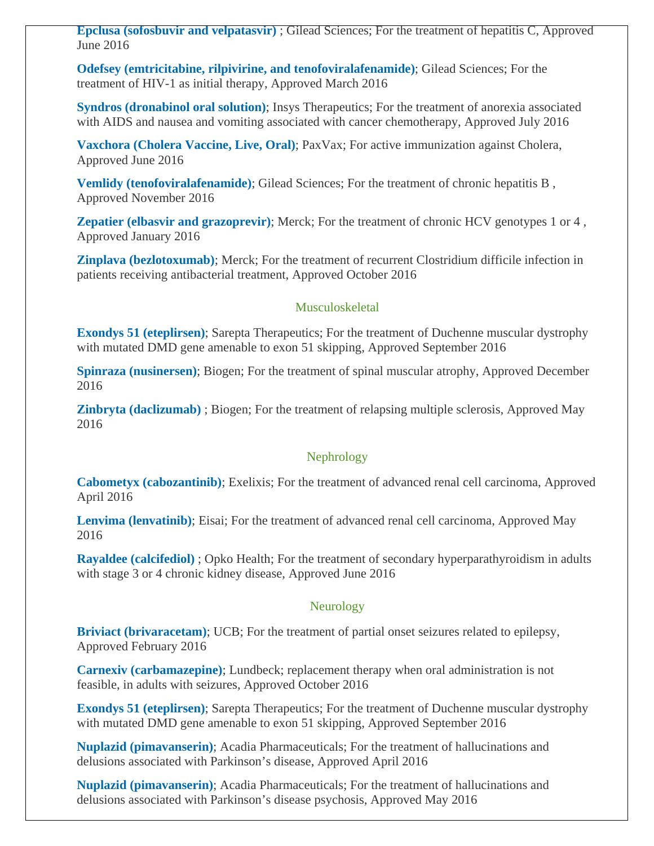**[Epclusa \(sofosbuvir and velpatasvir\)](https://www.centerwatch.com/drug-information/fda-approved-drugs/drug/100157/epclusa-sofosbuvir-and-velpatasvir-)** ; Gilead Sciences; For the treatment of hepatitis C, Approved June 2016

**[Odefsey \(emtricitabine, rilpivirine, and tenofoviralafenamide\)](https://www.centerwatch.com/drug-information/fda-approved-drugs/drug/100133/odefsey-emtricitabine-rilpivirine-and-tenofovir-alafenamide)**; Gilead Sciences; For the treatment of HIV-1 as initial therapy, Approved March 2016

**[Syndros \(dronabinol oral solution\)](https://www.centerwatch.com/drug-information/fda-approved-drugs/drug/100160/syndros-dronabinol-oral-solution)**; Insys Therapeutics; For the treatment of anorexia associated with AIDS and nausea and vomiting associated with cancer chemotherapy, Approved July 2016

**[Vaxchora \(Cholera Vaccine, Live, Oral\)](https://www.centerwatch.com/drug-information/fda-approved-drugs/drug/100155/vaxchora-cholera-vaccine-live-oral)**; PaxVax; For active immunization against Cholera, Approved June 2016

**[Vemlidy \(tenofoviralafenamide\)](https://www.centerwatch.com/drug-information/fda-approved-drugs/drug/100175/vemlidy-tenofovir-alafenamide);** Gilead Sciences; For the treatment of chronic hepatitis B, Approved November 2016

**[Zepatier \(elbasvir and grazoprevir\)](https://www.centerwatch.com/drug-information/fda-approved-drugs/drug/100130/zepatier-elbasvir-and-grazoprevir);** Merck; For the treatment of chronic HCV genotypes 1 or 4, Approved January 2016

**[Zinplava \(bezlotoxumab\)](https://www.centerwatch.com/drug-information/fda-approved-drugs/drug/100173/zinplava-bezlotoxumab)**; Merck; For the treatment of recurrent Clostridium difficile infection in patients receiving antibacterial treatment, Approved October 2016

#### Musculoskeletal

**[Exondys 51 \(eteplirsen\)](https://www.centerwatch.com/drug-information/fda-approved-drugs/drug/100169/exondys-51-eteplirsen)**; Sarepta Therapeutics; For the treatment of Duchenne muscular dystrophy with mutated DMD gene amenable to exon 51 skipping, Approved September 2016

**[Spinraza \(nusinersen\)](https://www.centerwatch.com/drug-information/fda-approved-drugs/drug/100180/spinraza-nusinersen)**; Biogen; For the treatment of spinal muscular atrophy, Approved December 2016

**[Zinbryta \(daclizumab\)](https://www.centerwatch.com/drug-information/fda-approved-drugs/drug/100151/zinbryta-daclizumab-)** ; Biogen; For the treatment of relapsing multiple sclerosis, Approved May 2016

#### Nephrology

**[Cabometyx \(cabozantinib\)](https://www.centerwatch.com/drug-information/fda-approved-drugs/drug/100141/cabometyx-cabozantinib)**; Exelixis; For the treatment of advanced renal cell carcinoma, Approved April 2016

**[Lenvima \(lenvatinib\)](https://www.centerwatch.com/drug-information/fda-approved-drugs/drug/100148/lenvima-lenvatinib)**; Eisai; For the treatment of advanced renal cell carcinoma, Approved May 2016

**[Rayaldee \(calcifediol\)](https://www.centerwatch.com/drug-information/fda-approved-drugs/drug/100156/rayaldee-calcifediol-)** ; Opko Health; For the treatment of secondary hyperparathyroidism in adults with stage 3 or 4 chronic kidney disease, Approved June 2016

#### Neurology

**[Briviact \(brivaracetam\)](https://www.centerwatch.com/drug-information/fda-approved-drugs/drug/100131/briviact-brivaracetam)**; UCB; For the treatment of partial onset seizures related to epilepsy, Approved February 2016

**[Carnexiv \(carbamazepine\)](https://www.centerwatch.com/drug-information/fda-approved-drugs/drug/100171/carnexiv-carbamazepine)**; Lundbeck; replacement therapy when oral administration is not feasible, in adults with seizures, Approved October 2016

**[Exondys 51 \(eteplirsen\)](https://www.centerwatch.com/drug-information/fda-approved-drugs/drug/100169/exondys-51-eteplirsen)**; Sarepta Therapeutics; For the treatment of Duchenne muscular dystrophy with mutated DMD gene amenable to exon 51 skipping, Approved September 2016

**[Nuplazid \(pimavanserin\)](https://www.centerwatch.com/drug-information/fda-approved-drugs/drug/100142/nuplazid-pimavanserin)**; Acadia Pharmaceuticals; For the treatment of hallucinations and delusions associated with Parkinson's disease, Approved April 2016

**[Nuplazid \(pimavanserin\)](https://www.centerwatch.com/drug-information/fda-approved-drugs/drug/100147/nuplazid-pimavanserin)**; Acadia Pharmaceuticals; For the treatment of hallucinations and delusions associated with Parkinson's disease psychosis, Approved May 2016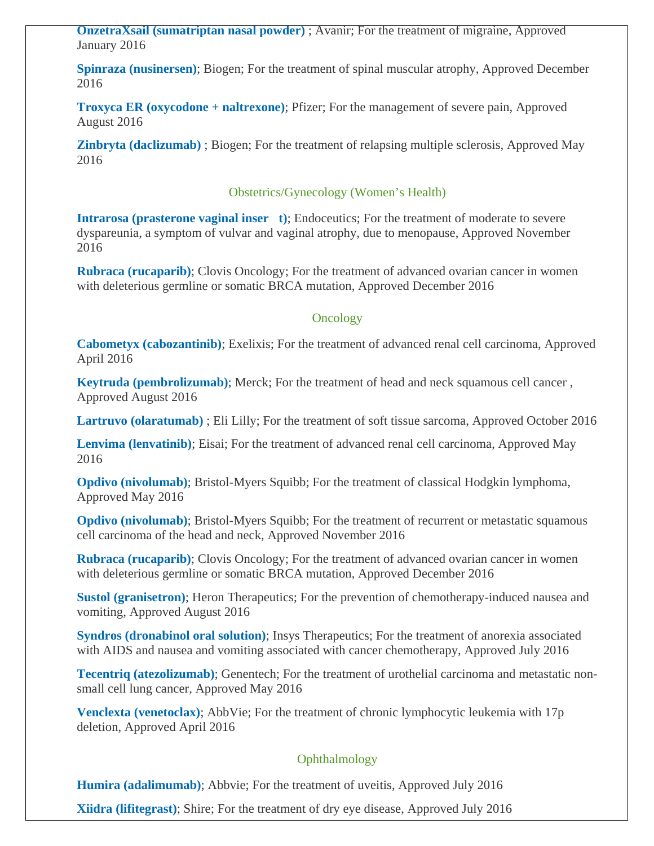**[OnzetraXsail \(sumatriptan nasal powder\)](https://www.centerwatch.com/drug-information/fda-approved-drugs/drug/100129/onzetra-xsail-sumatriptan-nasal-powder-)** ; Avanir; For the treatment of migraine, Approved January 2016

**[Spinraza \(nusinersen\)](https://www.centerwatch.com/drug-information/fda-approved-drugs/drug/100180/spinraza-nusinersen)**; Biogen; For the treatment of spinal muscular atrophy, Approved December 2016

**[Troxyca ER \(oxycodone + naltrexone\)](https://www.centerwatch.com/drug-information/fda-approved-drugs/drug/100162/troxyca-er-oxycodone--naltrexone)**; Pfizer; For the management of severe pain, Approved August 2016

**[Zinbryta \(daclizumab\)](https://www.centerwatch.com/drug-information/fda-approved-drugs/drug/100151/zinbryta-daclizumab-)** ; Biogen; For the treatment of relapsing multiple sclerosis, Approved May 2016

#### Obstetrics/Gynecology (Women's Health)

**Intrarosa (prasterone vaginal inser** t); Endoceutics; For the treatment of moderate to severe dyspareunia, a symptom of vulvar and vaginal atrophy, due to menopause, Approved November 2016

**[Rubraca \(rucaparib\)](https://www.centerwatch.com/drug-information/fda-approved-drugs/drug/100181/rubraca-rucaparib)**; Clovis Oncology; For the treatment of advanced ovarian cancer in women with deleterious germline or somatic BRCA mutation, Approved December 2016

#### **Oncology**

**[Cabometyx \(cabozantinib\)](https://www.centerwatch.com/drug-information/fda-approved-drugs/drug/100141/cabometyx-cabozantinib)**; Exelixis; For the treatment of advanced renal cell carcinoma, Approved April 2016

**[Keytruda \(pembrolizumab\)](https://www.centerwatch.com/drug-information/fda-approved-drugs/drug/100164/keytruda-pembrolizumab)**; Merck; For the treatment of head and neck squamous cell cancer , Approved August 2016

**[Lartruvo \(olaratumab\)](https://www.centerwatch.com/drug-information/fda-approved-drugs/drug/100172/lartruvo-olaratumab-)** ; Eli Lilly; For the treatment of soft tissue sarcoma, Approved October 2016

**[Lenvima \(lenvatinib\)](https://www.centerwatch.com/drug-information/fda-approved-drugs/drug/100148/lenvima-lenvatinib)**; Eisai; For the treatment of advanced renal cell carcinoma, Approved May 2016

**[Opdivo \(nivolumab\)](https://www.centerwatch.com/drug-information/fda-approved-drugs/drug/100146/opdivo-nivolumab)**; Bristol-Myers Squibb; For the treatment of classical Hodgkin lymphoma, Approved May 2016

**[Opdivo \(nivolumab\)](https://www.centerwatch.com/drug-information/fda-approved-drugs/drug/100176/opdivo-nivolumab)**; Bristol-Myers Squibb; For the treatment of recurrent or metastatic squamous cell carcinoma of the head and neck, Approved November 2016

**[Rubraca \(rucaparib\)](https://www.centerwatch.com/drug-information/fda-approved-drugs/drug/100181/rubraca-rucaparib)**; Clovis Oncology; For the treatment of advanced ovarian cancer in women with deleterious germline or somatic BRCA mutation, Approved December 2016

**[Sustol \(granisetron\)](https://www.centerwatch.com/drug-information/fda-approved-drugs/drug/100163/sustol-granisetron)**; Heron Therapeutics; For the prevention of chemotherapy-induced nausea and vomiting, Approved August 2016

**[Syndros \(dronabinol oral solution\)](https://www.centerwatch.com/drug-information/fda-approved-drugs/drug/100160/syndros-dronabinol-oral-solution)**; Insys Therapeutics; For the treatment of anorexia associated with AIDS and nausea and vomiting associated with cancer chemotherapy, Approved July 2016

**[Tecentriq \(atezolizumab\)](https://www.centerwatch.com/drug-information/fda-approved-drugs/drug/100149/tecentriq-atezolizumab)**; Genentech; For the treatment of urothelial carcinoma and metastatic nonsmall cell lung cancer, Approved May 2016

**[Venclexta \(venetoclax\)](https://www.centerwatch.com/drug-information/fda-approved-drugs/drug/100140/venclexta-venetoclax)**; AbbVie; For the treatment of chronic lymphocytic leukemia with 17p deletion, Approved April 2016

#### Ophthalmology

**[Humira \(adalimumab\)](https://www.centerwatch.com/drug-information/fda-approved-drugs/drug/100158/humira-adalimumab)**; Abbvie; For the treatment of uveitis, Approved July 2016

**[Xiidra \(lifitegrast\)](https://www.centerwatch.com/drug-information/fda-approved-drugs/drug/100159/xiidra-lifitegrast)**; Shire; For the treatment of dry eye disease, Approved July 2016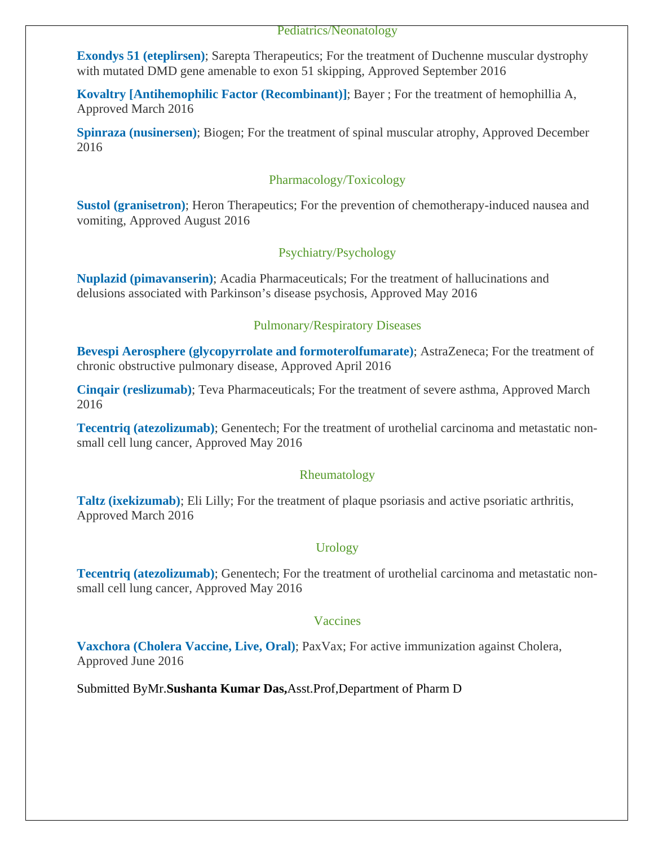#### Pediatrics/Neonatology

**[Exondys 51 \(eteplirsen\)](https://www.centerwatch.com/drug-information/fda-approved-drugs/drug/100169/exondys-51-eteplirsen)**; Sarepta Therapeutics; For the treatment of Duchenne muscular dystrophy with mutated DMD gene amenable to exon 51 skipping, Approved September 2016

**[Kovaltry \[Antihemophilic Factor \(Recombinant\)\]](https://www.centerwatch.com/drug-information/fda-approved-drugs/drug/100134/kovaltry-antihemophilic-factor-recombinant)**; Bayer ; For the treatment of hemophillia A, Approved March 2016

**[Spinraza \(nusinersen\)](https://www.centerwatch.com/drug-information/fda-approved-drugs/drug/100180/spinraza-nusinersen)**; Biogen; For the treatment of spinal muscular atrophy, Approved December 2016

#### Pharmacology/Toxicology

**[Sustol \(granisetron\)](https://www.centerwatch.com/drug-information/fda-approved-drugs/drug/100163/sustol-granisetron)**; Heron Therapeutics; For the prevention of chemotherapy-induced nausea and vomiting, Approved August 2016

#### Psychiatry/Psychology

**[Nuplazid \(pimavanserin\)](https://www.centerwatch.com/drug-information/fda-approved-drugs/drug/100147/nuplazid-pimavanserin)**; Acadia Pharmaceuticals; For the treatment of hallucinations and delusions associated with Parkinson's disease psychosis, Approved May 2016

#### Pulmonary/Respiratory Diseases

**[Bevespi Aerosphere \(glycopyrrolate and formoterolfumarate\)](https://www.centerwatch.com/drug-information/fda-approved-drugs/drug/100143/bevespi-aerosphere-glycopyrrolate-and-formoterol-fumarate)**; AstraZeneca; For the treatment of chronic obstructive pulmonary disease, Approved April 2016

**[Cinqair \(reslizumab\)](https://www.centerwatch.com/drug-information/fda-approved-drugs/drug/100137/cinqair-reslizumab)**; Teva Pharmaceuticals; For the treatment of severe asthma, Approved March 2016

**[Tecentriq \(atezolizumab\)](https://www.centerwatch.com/drug-information/fda-approved-drugs/drug/100149/tecentriq-atezolizumab)**; Genentech; For the treatment of urothelial carcinoma and metastatic nonsmall cell lung cancer, Approved May 2016

#### Rheumatology

**[Taltz \(ixekizumab\)](https://www.centerwatch.com/drug-information/fda-approved-drugs/drug/100136/taltz-ixekizumab)**; Eli Lilly; For the treatment of plaque psoriasis and active psoriatic arthritis, Approved March 2016

#### Urology

**[Tecentriq \(atezolizumab\)](https://www.centerwatch.com/drug-information/fda-approved-drugs/drug/100149/tecentriq-atezolizumab)**; Genentech; For the treatment of urothelial carcinoma and metastatic nonsmall cell lung cancer, Approved May 2016

#### Vaccines

**[Vaxchora \(Cholera Vaccine, Live, Oral\)](https://www.centerwatch.com/drug-information/fda-approved-drugs/drug/100155/vaxchora-cholera-vaccine-live-oral)**; PaxVax; For active immunization against Cholera, Approved June 2016

Submitted ByMr.**Sushanta Kumar Das,**Asst.Prof,Department of Pharm D